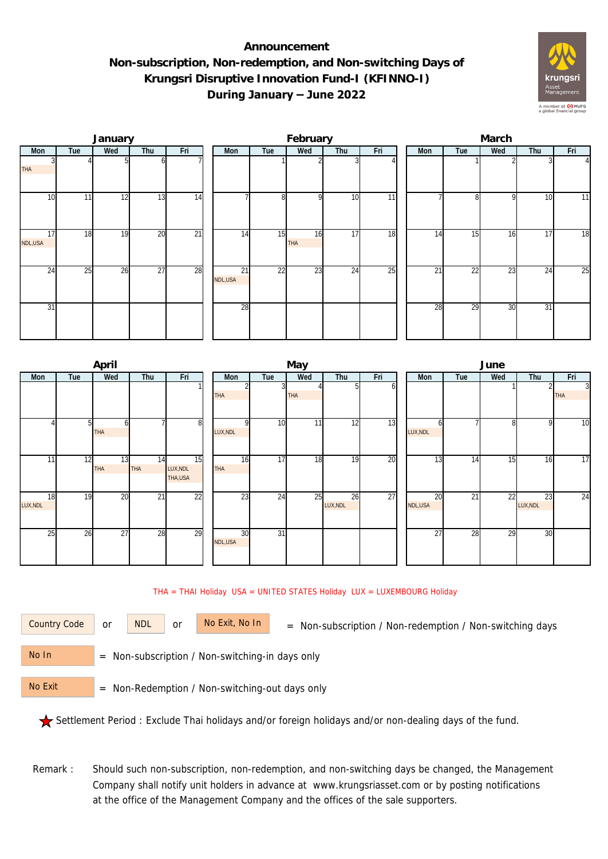## **Announcement Non-subscription, Non-redemption, and Non-switching Days of Krungsri Disruptive Innovation Fund-I (KFINNO-I) During January – June 2022**



|               |     | January |                 |                 | February      |     |           |     |                 |  | March |     |     |     |                |  |  |
|---------------|-----|---------|-----------------|-----------------|---------------|-----|-----------|-----|-----------------|--|-------|-----|-----|-----|----------------|--|--|
| Mon           | Tue | Wed     | Thu             | Fri             | Mon           | Tue | Wed       | Thu | Fri             |  | Mon   | Tue | Wed | Thu | Fri            |  |  |
| <b>THA</b>    |     |         | ωI              |                 |               |     |           |     |                 |  |       |     |     |     | $\overline{4}$ |  |  |
| 10            | 11  | 12      | 13              | 14              |               | 8   | οI        | 10  | 11              |  |       | 81  | 9   | 10  | 11             |  |  |
| 17<br>NDL,USA | 18  | 19      | 20              | $\overline{21}$ | 14            | 15  | 16<br>THA | 17  | 18              |  | 14    | 15  | 16  | 17  | 18             |  |  |
| 24            | 25  | 26      | $\overline{27}$ | 28              | 21<br>NDL,USA | 22  | 23        | 24  | $\overline{25}$ |  | 21    | 22  | 23  | 24  | 25             |  |  |
| 31            |     |         |                 |                 | 28            |     |           |     |                 |  | 28    | 29  | 30  | 31  |                |  |  |

|                |     | April            |           |                           |                |                 | May        |                |     | June          |     |     |                |                              |  |  |
|----------------|-----|------------------|-----------|---------------------------|----------------|-----------------|------------|----------------|-----|---------------|-----|-----|----------------|------------------------------|--|--|
| Mon            | Tue | Wed              | Thu       | Fri                       | Mon            | Tue             | Wed        | Thu            | Fri | Mon           | Tue | Wed | Thu            | Fri                          |  |  |
|                |     |                  |           |                           | THA            |                 | <b>THA</b> | ы              | οı  |               |     |     |                | $\overline{3}$<br><b>THA</b> |  |  |
|                | 51  | h<br>THA         |           | 8                         | LUX, NDL       | 10              | 11         | 12             | 13  | h<br>LUX, NDL |     | 8   | 9              | $\overline{10}$              |  |  |
| 11             | 12  | 13<br><b>THA</b> | 14<br>THA | 15<br>LUX, NDL<br>THA,USA | 16<br>THA      | $\overline{17}$ | 18         | 19             | 20  | 13            | 14  | 15  | 16             | $\overline{17}$              |  |  |
| 18<br>LUX, NDL | 19  | 20               | 21        | 22                        | 23             | 24              | 25         | 26<br>LUX, NDL | 27  | 20<br>NDL,USA | 21  | 22  | 23<br>LUX, NDL | 24                           |  |  |
| 25             | 26  | 27               | 28        | 29                        | 30<br>NDL, USA | $\overline{31}$ |            |                |     | 27            | 28  | 29  | 30             |                              |  |  |

## THA = THAI Holiday USA = UNITED STATES Holiday LUX = LUXEMBOURG Holiday

or NDL or

Country Code or NDL or No Exit, No In = Non-subscription / Non-redemption / Non-switching days

 = Non-subscription / Non-switching-in days only No In

 = Non-Redemption / Non-switching-out days only No Exit

Settlement Period : Exclude Thai holidays and/or foreign holidays and/or non-dealing days of the fund.

Remark : Should such non-subscription, non-redemption, and non-switching days be changed, the Management Company shall notify unit holders in advance at www.krungsriasset.com or by posting notifications at the office of the Management Company and the offices of the sale supporters.